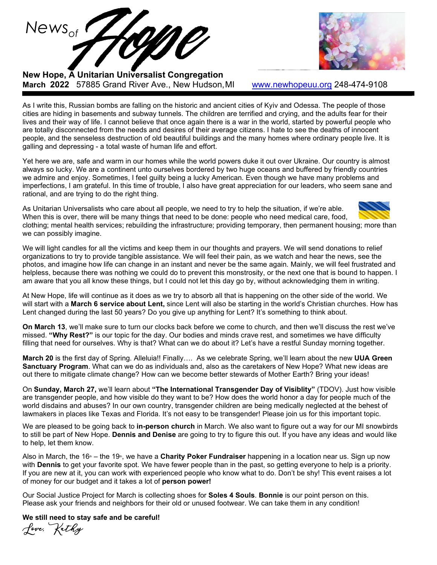

**New Hope, A Unitarian Universalist Congregation March 2022** 57885 Grand River Ave., New Hudson,MI [www.newhopeuu.org](http://www.newhopeuu.org/) 248-474-9108

As I write this, Russian bombs are falling on the historic and ancient cities of Kyiv and Odessa. The people of those cities are hiding in basements and subway tunnels. The children are terrified and crying, and the adults fear for their lives and their way of life. I cannot believe that once again there is a war in the world, started by powerful people who are totally disconnected from the needs and desires of their average citizens. I hate to see the deaths of innocent people, and the senseless destruction of old beautiful buildings and the many homes where ordinary people live. It is galling and depressing - a total waste of human life and effort.

Yet here we are, safe and warm in our homes while the world powers duke it out over Ukraine. Our country is almost always so lucky. We are a continent unto ourselves bordered by two huge oceans and buffered by friendly countries we admire and enjoy. Sometimes, I feel guilty being a lucky American. Even though we have many problems and imperfections, I am grateful. In this time of trouble, I also have great appreciation for our leaders, who seem sane and rational, and are trying to do the right thing.

As Unitarian Universalists who care about all people, we need to try to help the situation, if we're able. When this is over, there will be many things that need to be done: people who need medical care, food, clothing; mental health services; rebuilding the infrastructure; providing temporary, then permanent housing; more than we can possibly imagine.

We will light candles for all the victims and keep them in our thoughts and prayers. We will send donations to relief organizations to try to provide tangible assistance. We will feel their pain, as we watch and hear the news, see the photos, and imagine how life can change in an instant and never be the same again. Mainly, we will feel frustrated and helpless, because there was nothing we could do to prevent this monstrosity, or the next one that is bound to happen. I am aware that you all know these things, but I could not let this day go by, without acknowledging them in writing.

At New Hope, life will continue as it does as we try to absorb all that is happening on the other side of the world. We will start with a **March 6 service about Lent,** since Lent will also be starting in the world's Christian churches. How has Lent changed during the last 50 years? Do you give up anything for Lent? It's something to think about.

**On March 13**, we'll make sure to turn our clocks back before we come to church, and then we'll discuss the rest we've missed. **"Why Rest?"** is our topic for the day. Our bodies and minds crave rest, and sometimes we have difficulty filling that need for ourselves. Why is that? What can we do about it? Let's have a restful Sunday morning together.

**March 20** is the first day of Spring. Alleluia!! Finally…. As we celebrate Spring, we'll learn about the new **UUA Green Sanctuary Program**. What can we do as individuals and, also as the caretakers of New Hope? What new ideas are out there to mitigate climate change? How can we become better stewards of Mother Earth? Bring your ideas!

On **Sunday, March 27,** we'll learn about **"The International Transgender Day of Visiblity"** (TDOV). Just how visible are transgender people, and how visible do they want to be? How does the world honor a day for people much of the world disdains and abuses? In our own country, transgender children are being medically neglected at the behest of lawmakers in places like Texas and Florida. It's not easy to be transgender! Please join us for this important topic.

We are pleased to be going back to **in-person church** in March. We also want to figure out a way for our MI snowbirds to still be part of New Hope. **Dennis and Denise** are going to try to figure this out. If you have any ideas and would like to help, let them know.

Also in March, the 16<sup>th</sup> – the 19<sup>th</sup>, we have a **Charity Poker Fundraiser** happening in a location near us. Sign up now with **Dennis** to get your favorite spot. We have fewer people than in the past, so getting everyone to help is a priority. If you are new at it, you can work with experienced people who know what to do. Don't be shy! This event raises a lot of money for our budget and it takes a lot of **person power!**

Our Social Justice Project for March is collecting shoes for **Soles 4 Souls**. **Bonnie** is our point person on this. Please ask your friends and neighbors for their old or unused footwear. We can take them in any condition!

**We still need to stay safe and be careful!**

Love, Kathy